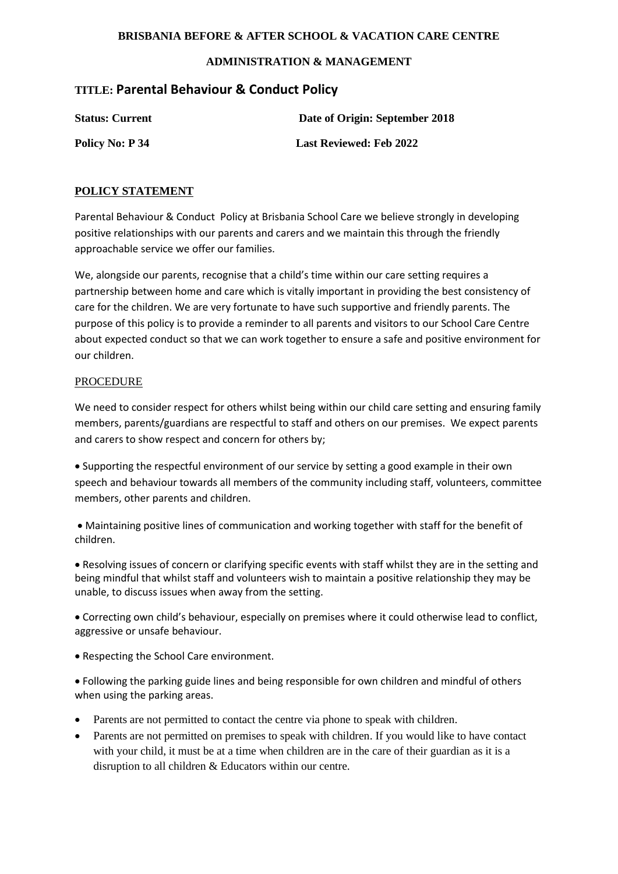### **BRISBANIA BEFORE & AFTER SCHOOL & VACATION CARE CENTRE**

## **ADMINISTRATION & MANAGEMENT**

# **TITLE: Parental Behaviour & Conduct Policy**

**Status: Current Date of Origin: September 2018**

**Policy No: P 34** Last Reviewed: Feb 2022

## **POLICY STATEMENT**

Parental Behaviour & Conduct Policy at Brisbania School Care we believe strongly in developing positive relationships with our parents and carers and we maintain this through the friendly approachable service we offer our families.

We, alongside our parents, recognise that a child's time within our care setting requires a partnership between home and care which is vitally important in providing the best consistency of care for the children. We are very fortunate to have such supportive and friendly parents. The purpose of this policy is to provide a reminder to all parents and visitors to our School Care Centre about expected conduct so that we can work together to ensure a safe and positive environment for our children.

## PROCEDURE

We need to consider respect for others whilst being within our child care setting and ensuring family members, parents/guardians are respectful to staff and others on our premises. We expect parents and carers to show respect and concern for others by;

• Supporting the respectful environment of our service by setting a good example in their own speech and behaviour towards all members of the community including staff, volunteers, committee members, other parents and children.

• Maintaining positive lines of communication and working together with staff for the benefit of children.

• Resolving issues of concern or clarifying specific events with staff whilst they are in the setting and being mindful that whilst staff and volunteers wish to maintain a positive relationship they may be unable, to discuss issues when away from the setting.

• Correcting own child's behaviour, especially on premises where it could otherwise lead to conflict, aggressive or unsafe behaviour.

• Respecting the School Care environment.

• Following the parking guide lines and being responsible for own children and mindful of others when using the parking areas.

- Parents are not permitted to contact the centre via phone to speak with children.
- Parents are not permitted on premises to speak with children. If you would like to have contact with your child, it must be at a time when children are in the care of their guardian as it is a disruption to all children & Educators within our centre.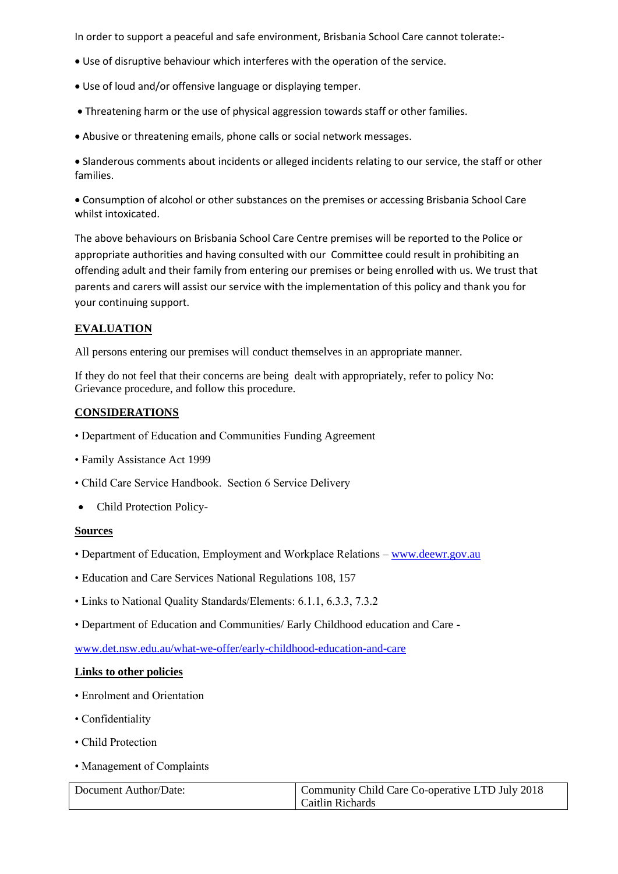In order to support a peaceful and safe environment, Brisbania School Care cannot tolerate:-

- Use of disruptive behaviour which interferes with the operation of the service.
- Use of loud and/or offensive language or displaying temper.
- Threatening harm or the use of physical aggression towards staff or other families.
- Abusive or threatening emails, phone calls or social network messages.

• Slanderous comments about incidents or alleged incidents relating to our service, the staff or other families.

• Consumption of alcohol or other substances on the premises or accessing Brisbania School Care whilst intoxicated.

The above behaviours on Brisbania School Care Centre premises will be reported to the Police or appropriate authorities and having consulted with our Committee could result in prohibiting an offending adult and their family from entering our premises or being enrolled with us. We trust that parents and carers will assist our service with the implementation of this policy and thank you for your continuing support.

## **EVALUATION**

All persons entering our premises will conduct themselves in an appropriate manner.

If they do not feel that their concerns are being dealt with appropriately, refer to policy No: Grievance procedure, and follow this procedure.

## **CONSIDERATIONS**

- Department of Education and Communities Funding Agreement
- Family Assistance Act 1999
- Child Care Service Handbook. Section 6 Service Delivery
- Child Protection Policy-

#### **Sources**

- Department of Education, Employment and Workplace Relations [www.deewr.gov.au](http://www.deewr.gov.au/)
- Education and Care Services National Regulations 108, 157
- Links to National Quality Standards/Elements: 6.1.1, 6.3.3, 7.3.2
- Department of Education and Communities/ Early Childhood education and Care -

[www.det.nsw.edu.au/what-we-offer/early-childhood-education-and-care](http://www.det.nsw.edu.au/what-we-offer/early-childhood-education-and-care)

#### **Links to other policies**

- Enrolment and Orientation
- Confidentiality
- Child Protection
- Management of Complaints

| Document Author/Date: | Community Child Care Co-operative LTD July 2018 |
|-----------------------|-------------------------------------------------|
|                       | Caitlin Richards                                |